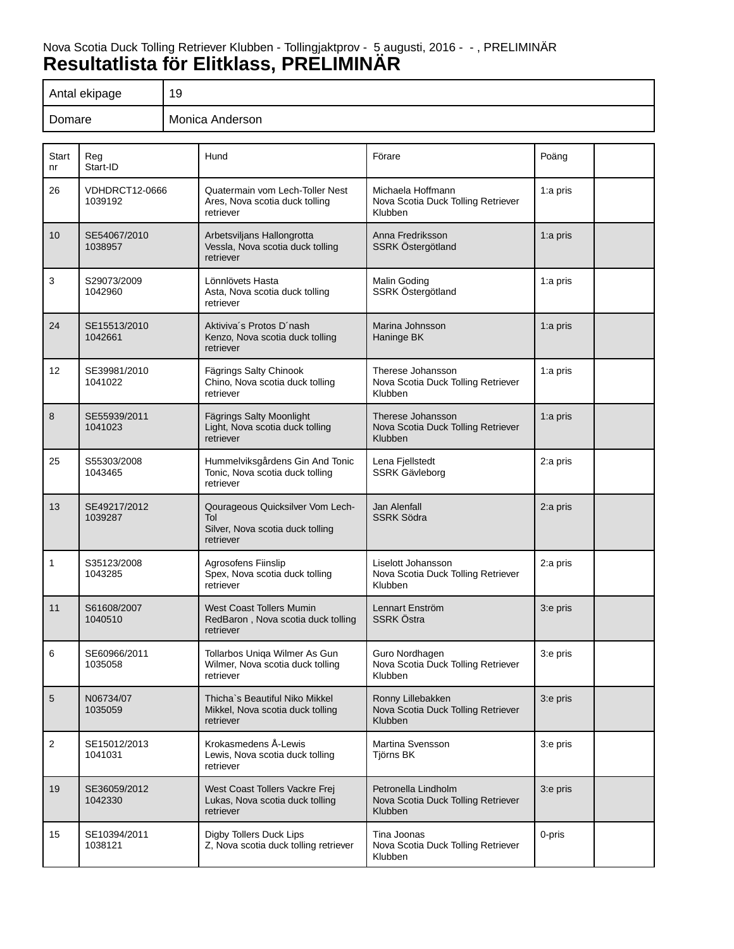# Nova Scotia Duck Tolling Retriever Klubben - Tollingjaktprov - 5 augusti, 2016 - - , PRELIMINÄR **Resultatlista för Elitklass, PRELIMINÄR**

| Antal ekipage | 19              |
|---------------|-----------------|
| Domare        | Monica Anderson |

| Start<br>n <sub>r</sub> | Reg<br>Start-ID                  | Hund                                                                                     | Förare                                                                    | Poäng       |  |
|-------------------------|----------------------------------|------------------------------------------------------------------------------------------|---------------------------------------------------------------------------|-------------|--|
| 26                      | <b>VDHDRCT12-0666</b><br>1039192 | Quatermain vom Lech-Toller Nest<br>Ares, Nova scotia duck tolling<br>retriever           | Michaela Hoffmann<br>Nova Scotia Duck Tolling Retriever<br>Klubben        | 1:a pris    |  |
| 10                      | SE54067/2010<br>1038957          | Arbetsviljans Hallongrotta<br>Vessla, Nova scotia duck tolling<br>retriever              | Anna Fredriksson<br>SSRK Östergötland                                     | 1:a pris    |  |
| 3                       | S29073/2009<br>1042960           | Lönnlövets Hasta<br>Asta, Nova scotia duck tolling<br>retriever                          | Malin Goding<br>SSRK Östergötland                                         | 1:a pris    |  |
| 24                      | SE15513/2010<br>1042661          | Aktiviva's Protos D'nash<br>Kenzo, Nova scotia duck tolling<br>retriever                 | Marina Johnsson<br>Haninge BK                                             | 1:a pris    |  |
| 12                      | SE39981/2010<br>1041022          | Fägrings Salty Chinook<br>Chino, Nova scotia duck tolling<br>retriever                   | Therese Johansson<br>Nova Scotia Duck Tolling Retriever<br>Klubben        | 1:a pris    |  |
| 8                       | SE55939/2011<br>1041023          | Fägrings Salty Moonlight<br>Light, Nova scotia duck tolling<br>retriever                 | Therese Johansson<br>Nova Scotia Duck Tolling Retriever<br>Klubben        | 1: $a$ pris |  |
| 25                      | S55303/2008<br>1043465           | Hummelviksgårdens Gin And Tonic<br>Tonic, Nova scotia duck tolling<br>retriever          | Lena Fjellstedt<br><b>SSRK Gävleborg</b>                                  | 2:a pris    |  |
| 13                      | SE49217/2012<br>1039287          | Qourageous Quicksilver Vom Lech-<br>Tol<br>Silver, Nova scotia duck tolling<br>retriever | Jan Alenfall<br><b>SSRK Södra</b>                                         | 2:a pris    |  |
| 1                       | S35123/2008<br>1043285           | Agrosofens Fiinslip<br>Spex, Nova scotia duck tolling<br>retriever                       | Liselott Johansson<br>Nova Scotia Duck Tolling Retriever<br>Klubben       | 2:a pris    |  |
| 11                      | S61608/2007<br>1040510           | <b>West Coast Tollers Mumin</b><br>RedBaron, Nova scotia duck tolling<br>retriever       | Lennart Enström<br><b>SSRK Östra</b>                                      | 3:e pris    |  |
| 6                       | SE60966/2011<br>1035058          | Tollarbos Uniqa Wilmer As Gun<br>Wilmer, Nova scotia duck tolling<br>retriever           | Guro Nordhagen<br>Nova Scotia Duck Tolling Retriever<br>Klubben           | 3:e pris    |  |
| $5\phantom{1}$          | N06734/07<br>1035059             | Thicha's Beautiful Niko Mikkel<br>Mikkel, Nova scotia duck tolling<br>retriever          | Ronny Lillebakken<br>Nova Scotia Duck Tolling Retriever<br><b>Klubben</b> | 3:e pris    |  |
| $\overline{2}$          | SE15012/2013<br>1041031          | Krokasmedens Å-Lewis<br>Lewis, Nova scotia duck tolling<br>retriever                     | Martina Svensson<br>Tjörns BK                                             | 3:e pris    |  |
| 19                      | SE36059/2012<br>1042330          | West Coast Tollers Vackre Frej<br>Lukas, Nova scotia duck tolling<br>retriever           | Petronella Lindholm<br>Nova Scotia Duck Tolling Retriever<br>Klubben      | 3:e pris    |  |
| 15                      | SE10394/2011<br>1038121          | Digby Tollers Duck Lips<br>Z, Nova scotia duck tolling retriever                         | Tina Joonas<br>Nova Scotia Duck Tolling Retriever<br>Klubben              | 0-pris      |  |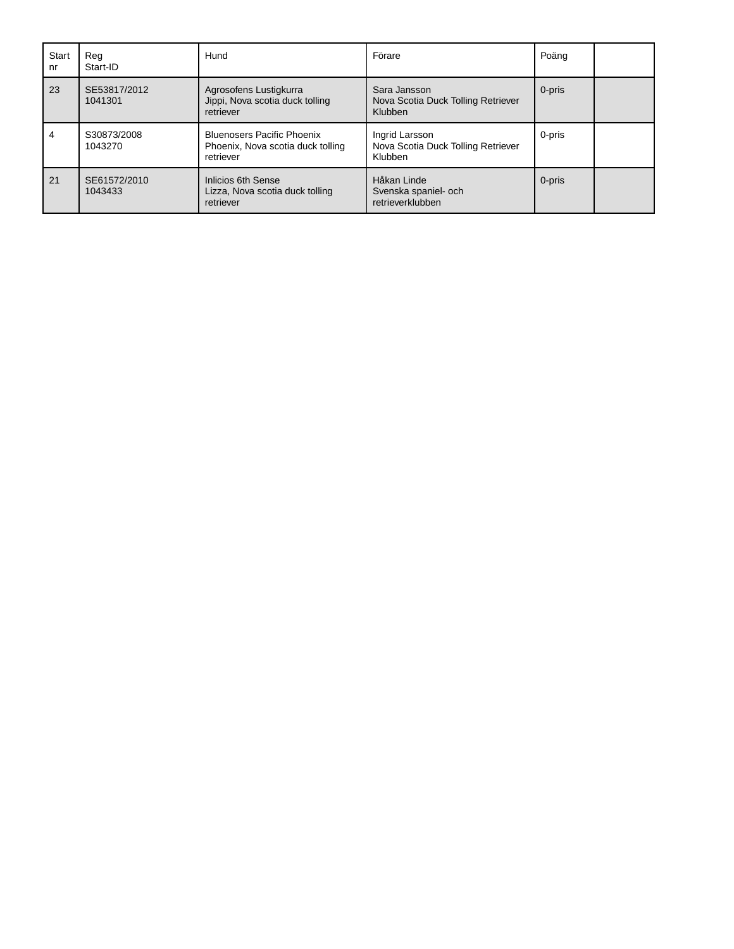| <b>Start</b><br>nr | Rea<br>Start-ID         | Hund                                                                                | Förare                                                          | Poäng  |  |
|--------------------|-------------------------|-------------------------------------------------------------------------------------|-----------------------------------------------------------------|--------|--|
| 23                 | SE53817/2012<br>1041301 | Agrosofens Lustigkurra<br>Jippi, Nova scotia duck tolling<br>retriever              | Sara Jansson<br>Nova Scotia Duck Tolling Retriever<br>Klubben   | 0-pris |  |
| 4                  | S30873/2008<br>1043270  | <b>Bluenosers Pacific Phoenix</b><br>Phoenix, Nova scotia duck tolling<br>retriever | Ingrid Larsson<br>Nova Scotia Duck Tolling Retriever<br>Klubben | 0-pris |  |
| 21                 | SE61572/2010<br>1043433 | <b>Inlicios 6th Sense</b><br>Lizza, Nova scotia duck tolling<br>retriever           | Håkan Linde<br>Svenska spaniel- och<br>retrieverklubben         | 0-pris |  |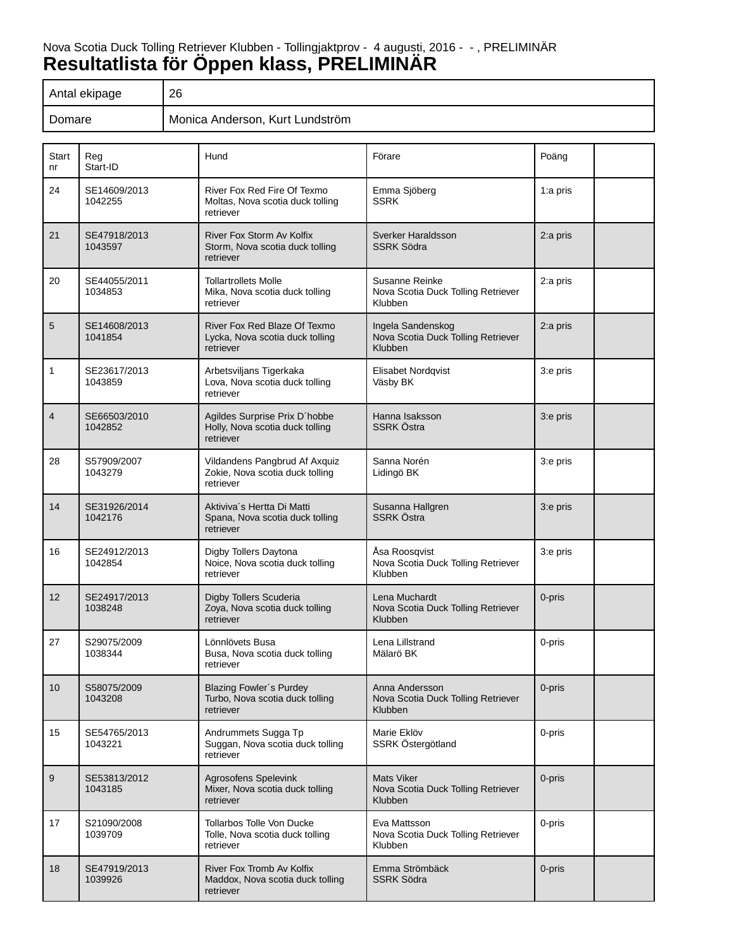# Nova Scotia Duck Tolling Retriever Klubben - Tollingjaktprov - 4 augusti, 2016 - - , PRELIMINÄR **Resultatlista för Öppen klass, PRELIMINÄR**

| Antal ekipage | 26                              |
|---------------|---------------------------------|
| Domare        | Monica Anderson, Kurt Lundström |

| Start<br>nr    | Reg<br>Start-ID         | Hund                                                                             | Förare                                                             | Poäng    |
|----------------|-------------------------|----------------------------------------------------------------------------------|--------------------------------------------------------------------|----------|
| 24             | SE14609/2013<br>1042255 | River Fox Red Fire Of Texmo<br>Moltas, Nova scotia duck tolling<br>retriever     | Emma Sjöberg<br><b>SSRK</b>                                        | 1:a pris |
| 21             | SE47918/2013<br>1043597 | River Fox Storm Av Kolfix<br>Storm, Nova scotia duck tolling<br>retriever        | Sverker Haraldsson<br><b>SSRK Södra</b>                            | 2:a pris |
| 20             | SE44055/2011<br>1034853 | <b>Tollartrollets Molle</b><br>Mika, Nova scotia duck tolling<br>retriever       | Susanne Reinke<br>Nova Scotia Duck Tolling Retriever<br>Klubben    | 2:a pris |
| 5              | SE14608/2013<br>1041854 | River Fox Red Blaze Of Texmo<br>Lycka, Nova scotia duck tolling<br>retriever     | Ingela Sandenskog<br>Nova Scotia Duck Tolling Retriever<br>Klubben | 2:a pris |
| 1              | SE23617/2013<br>1043859 | Arbetsviljans Tigerkaka<br>Lova, Nova scotia duck tolling<br>retriever           | Elisabet Nordqvist<br>Väsby BK                                     | 3:e pris |
| $\overline{4}$ | SE66503/2010<br>1042852 | Agildes Surprise Prix D'hobbe<br>Holly, Nova scotia duck tolling<br>retriever    | Hanna Isaksson<br><b>SSRK Östra</b>                                | 3:e pris |
| 28             | S57909/2007<br>1043279  | Vildandens Pangbrud Af Axquiz<br>Zokie, Nova scotia duck tolling<br>retriever    | Sanna Norén<br>Lidingö BK                                          | 3:e pris |
| 14             | SE31926/2014<br>1042176 | Aktiviva's Hertta Di Matti<br>Spana, Nova scotia duck tolling<br>retriever       | Susanna Hallgren<br><b>SSRK Östra</b>                              | 3:e pris |
| 16             | SE24912/2013<br>1042854 | Digby Tollers Daytona<br>Noice, Nova scotia duck tolling<br>retriever            | Åsa Roosqvist<br>Nova Scotia Duck Tolling Retriever<br>Klubben     | 3:e pris |
| 12             | SE24917/2013<br>1038248 | Digby Tollers Scuderia<br>Zoya, Nova scotia duck tolling<br>retriever            | Lena Muchardt<br>Nova Scotia Duck Tolling Retriever<br>Klubben     | 0-pris   |
| 27             | S29075/2009<br>1038344  | Lönnlövets Busa<br>Busa, Nova scotia duck tolling<br>retriever                   | Lena Lillstrand<br>Mälarö BK                                       | 0-pris   |
| 10             | S58075/2009<br>1043208  | <b>Blazing Fowler's Purdey</b><br>Turbo, Nova scotia duck tolling<br>retriever   | Anna Andersson<br>Nova Scotia Duck Tolling Retriever<br>Klubben    | 0-pris   |
| 15             | SE54765/2013<br>1043221 | Andrummets Sugga Tp<br>Suggan, Nova scotia duck tolling<br>retriever             | Marie Eklöv<br>SSRK Östergötland                                   | 0-pris   |
| 9              | SE53813/2012<br>1043185 | Agrosofens Spelevink<br>Mixer, Nova scotia duck tolling<br>retriever             | <b>Mats Viker</b><br>Nova Scotia Duck Tolling Retriever<br>Klubben | 0-pris   |
| 17             | S21090/2008<br>1039709  | <b>Tollarbos Tolle Von Ducke</b><br>Tolle, Nova scotia duck tolling<br>retriever | Eva Mattsson<br>Nova Scotia Duck Tolling Retriever<br>Klubben      | 0-pris   |
| 18             | SE47919/2013<br>1039926 | River Fox Tromb Av Kolfix<br>Maddox, Nova scotia duck tolling<br>retriever       | Emma Strömbäck<br><b>SSRK Södra</b>                                | 0-pris   |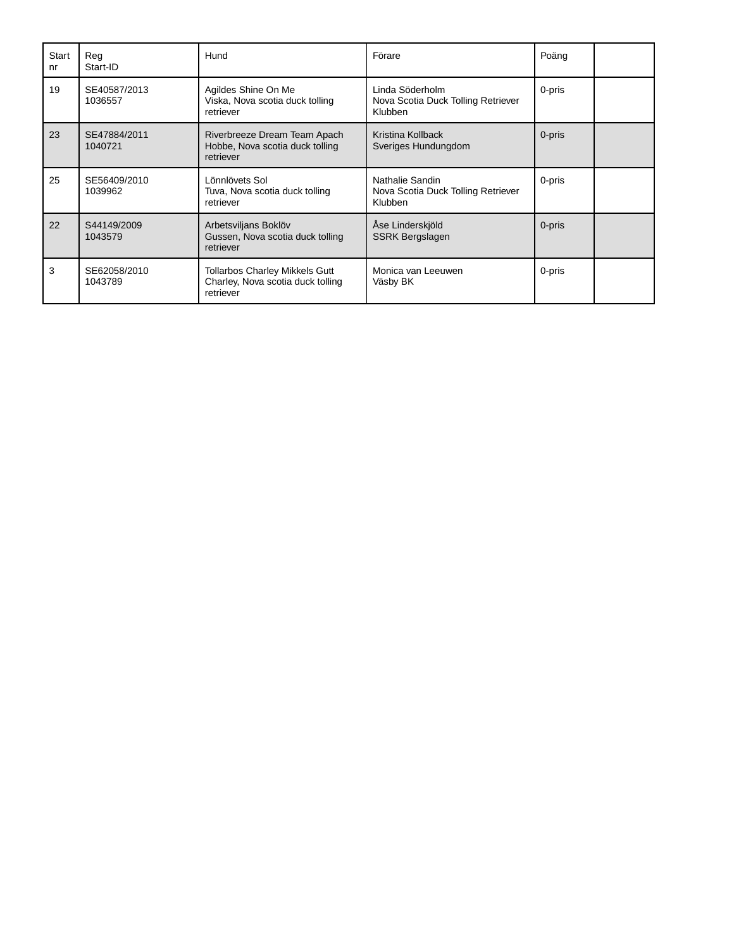| Start<br>nr | Reg<br>Start-ID         | Hund                                                                                    | Förare                                                                  | Poäng  |  |
|-------------|-------------------------|-----------------------------------------------------------------------------------------|-------------------------------------------------------------------------|--------|--|
| 19          | SE40587/2013<br>1036557 | Agildes Shine On Me<br>Viska, Nova scotia duck tolling<br>retriever                     | Linda Söderholm<br>Nova Scotia Duck Tolling Retriever<br><b>Klubben</b> | 0-pris |  |
| 23          | SE47884/2011<br>1040721 | Riverbreeze Dream Team Apach<br>Hobbe, Nova scotia duck tolling<br>retriever            | Kristina Kollback<br>Sveriges Hundungdom                                | 0-pris |  |
| 25          | SE56409/2010<br>1039962 | Lönnlövets Sol<br>Tuva, Nova scotia duck tolling<br>retriever                           | Nathalie Sandin<br>Nova Scotia Duck Tolling Retriever<br><b>Klubben</b> | 0-pris |  |
| 22          | S44149/2009<br>1043579  | Arbetsviljans Boklöv<br>Gussen, Nova scotia duck tolling<br>retriever                   | Åse Linderskjöld<br><b>SSRK Bergslagen</b>                              | 0-pris |  |
| 3           | SE62058/2010<br>1043789 | <b>Tollarbos Charley Mikkels Gutt</b><br>Charley, Nova scotia duck tolling<br>retriever | Monica van Leeuwen<br>Väsby BK                                          | 0-pris |  |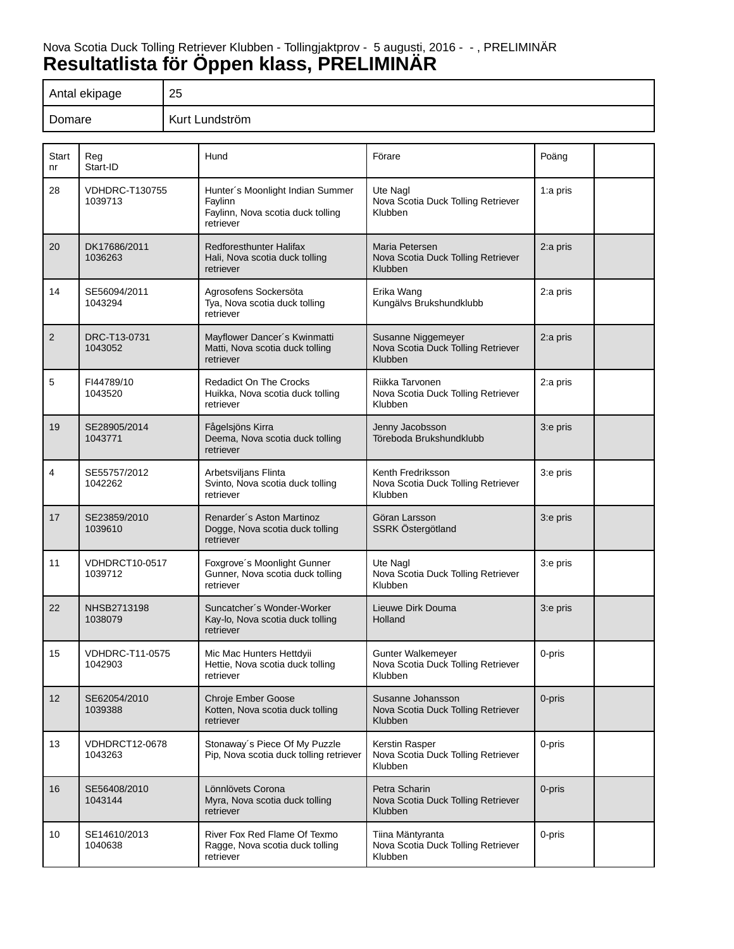## Nova Scotia Duck Tolling Retriever Klubben - Tollingjaktprov - 5 augusti, 2016 - - , PRELIMINÄR **Resultatlista för Öppen klass, PRELIMINÄR**

| Antal ekipage | 25             |
|---------------|----------------|
| Domare        | Kurt Lundström |

| Start<br>nr    | Reg<br>Start-ID                   | Hund                                                                                          | Förare                                                                 | Poäng    |
|----------------|-----------------------------------|-----------------------------------------------------------------------------------------------|------------------------------------------------------------------------|----------|
| 28             | <b>VDHDRC-T130755</b><br>1039713  | Hunter's Moonlight Indian Summer<br>Faylinn<br>Faylinn, Nova scotia duck tolling<br>retriever | Ute Nagl<br>Nova Scotia Duck Tolling Retriever<br>Klubben              | 1:a pris |
| 20             | DK17686/2011<br>1036263           | <b>Redforesthunter Halifax</b><br>Hali, Nova scotia duck tolling<br>retriever                 | Maria Petersen<br>Nova Scotia Duck Tolling Retriever<br><b>Klubben</b> | 2:a pris |
| 14             | SE56094/2011<br>1043294           | Agrosofens Sockersöta<br>Tya, Nova scotia duck tolling<br>retriever                           | Erika Wang<br>Kungälvs Brukshundklubb                                  | 2:a pris |
| $\overline{2}$ | DRC-T13-0731<br>1043052           | Mayflower Dancer's Kwinmatti<br>Matti, Nova scotia duck tolling<br>retriever                  | Susanne Niggemeyer<br>Nova Scotia Duck Tolling Retriever<br>Klubben    | 2:a pris |
| 5              | FI44789/10<br>1043520             | <b>Redadict On The Crocks</b><br>Huikka, Nova scotia duck tolling<br>retriever                | Riikka Tarvonen<br>Nova Scotia Duck Tolling Retriever<br>Klubben       | 2:a pris |
| 19             | SE28905/2014<br>1043771           | Fågelsjöns Kirra<br>Deema, Nova scotia duck tolling<br>retriever                              | Jenny Jacobsson<br>Töreboda Brukshundklubb                             | 3:e pris |
| 4              | SE55757/2012<br>1042262           | Arbetsviljans Flinta<br>Svinto, Nova scotia duck tolling<br>retriever                         | Kenth Fredriksson<br>Nova Scotia Duck Tolling Retriever<br>Klubben     | 3:e pris |
| 17             | SE23859/2010<br>1039610           | Renarder's Aston Martinoz<br>Dogge, Nova scotia duck tolling<br>retriever                     | Göran Larsson<br>SSRK Östergötland                                     | 3:e pris |
| 11             | <b>VDHDRCT10-0517</b><br>1039712  | Foxgrove's Moonlight Gunner<br>Gunner, Nova scotia duck tolling<br>retriever                  | Ute Nagl<br>Nova Scotia Duck Tolling Retriever<br>Klubben              | 3:e pris |
| 22             | NHSB2713198<br>1038079            | Suncatcher's Wonder-Worker<br>Kay-lo, Nova scotia duck tolling<br>retriever                   | Lieuwe Dirk Douma<br>Holland                                           | 3:e pris |
| 15             | <b>VDHDRC-T11-0575</b><br>1042903 | Mic Mac Hunters Hettdyii<br>Hettie, Nova scotia duck tolling<br>retriever                     | Gunter Walkemeyer<br>Nova Scotia Duck Tolling Retriever<br>Klubben     | 0-pris   |
| 12             | SE62054/2010<br>1039388           | <b>Chroje Ember Goose</b><br>Kotten, Nova scotia duck tolling<br>retriever                    | Susanne Johansson<br>Nova Scotia Duck Tolling Retriever<br>Klubben     | 0-pris   |
| 13             | VDHDRCT12-0678<br>1043263         | Stonaway's Piece Of My Puzzle<br>Pip, Nova scotia duck tolling retriever                      | Kerstin Rasper<br>Nova Scotia Duck Tolling Retriever<br>Klubben        | 0-pris   |
| 16             | SE56408/2010<br>1043144           | Lönnlövets Corona<br>Myra, Nova scotia duck tolling<br>retriever                              | Petra Scharin<br>Nova Scotia Duck Tolling Retriever<br>Klubben         | 0-pris   |
| 10             | SE14610/2013<br>1040638           | River Fox Red Flame Of Texmo<br>Ragge, Nova scotia duck tolling<br>retriever                  | Tiina Mäntyranta<br>Nova Scotia Duck Tolling Retriever<br>Klubben      | 0-pris   |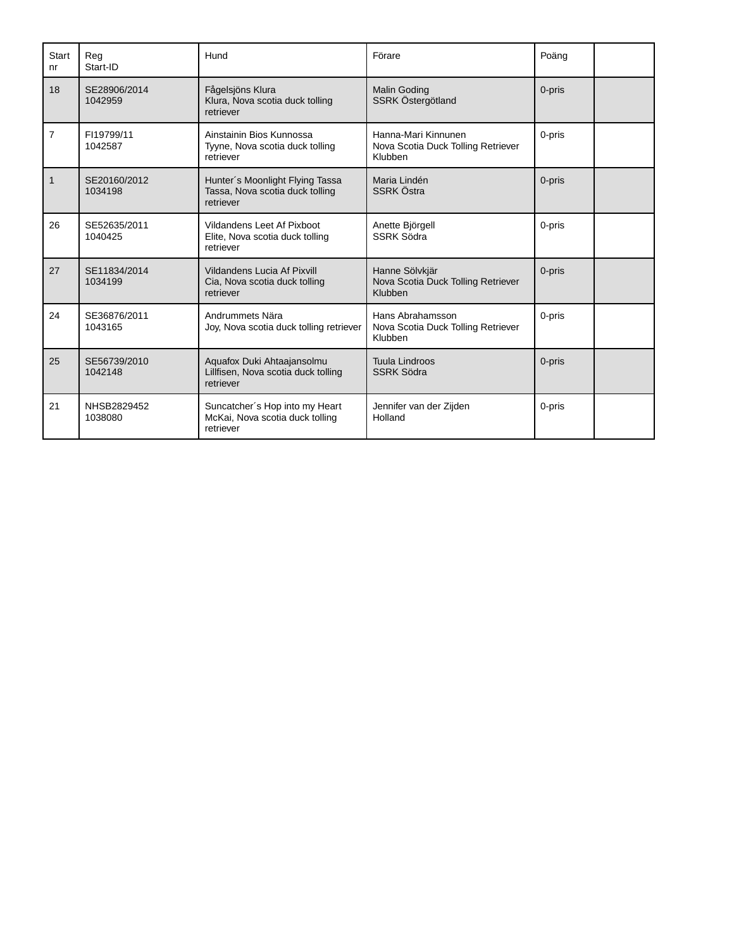| <b>Start</b><br>n <sub>r</sub> | Reg<br>Start-ID         | Hund                                                                            | Förare                                                               | Poäng  |  |
|--------------------------------|-------------------------|---------------------------------------------------------------------------------|----------------------------------------------------------------------|--------|--|
| 18                             | SE28906/2014<br>1042959 | Fågelsjöns Klura<br>Klura, Nova scotia duck tolling<br>retriever                | <b>Malin Goding</b><br>SSRK Östergötland                             | 0-pris |  |
| $\overline{7}$                 | FI19799/11<br>1042587   | Ainstainin Bios Kunnossa<br>Tyyne, Nova scotia duck tolling<br>retriever        | Hanna-Mari Kinnunen<br>Nova Scotia Duck Tolling Retriever<br>Klubben | 0-pris |  |
| $\mathbf{1}$                   | SE20160/2012<br>1034198 | Hunter's Moonlight Flying Tassa<br>Tassa, Nova scotia duck tolling<br>retriever | Maria Lindén<br><b>SSRK Östra</b>                                    | 0-pris |  |
| 26                             | SE52635/2011<br>1040425 | Vildandens Leet Af Pixboot<br>Elite, Nova scotia duck tolling<br>retriever      | Anette Björgell<br><b>SSRK Södra</b>                                 | 0-pris |  |
| 27                             | SE11834/2014<br>1034199 | Vildandens Lucia Af Pixvill<br>Cia, Nova scotia duck tolling<br>retriever       | Hanne Sölvkjär<br>Nova Scotia Duck Tolling Retriever<br>Klubben      | 0-pris |  |
| 24                             | SE36876/2011<br>1043165 | Andrummets Nära<br>Joy, Nova scotia duck tolling retriever                      | Hans Abrahamsson<br>Nova Scotia Duck Tolling Retriever<br>Klubben    | 0-pris |  |
| 25                             | SE56739/2010<br>1042148 | Aquafox Duki Ahtaajansolmu<br>Lillfisen, Nova scotia duck tolling<br>retriever  | <b>Tuula Lindroos</b><br><b>SSRK Södra</b>                           | 0-pris |  |
| 21                             | NHSB2829452<br>1038080  | Suncatcher's Hop into my Heart<br>McKai, Nova scotia duck tolling<br>retriever  | Jennifer van der Zijden<br>Holland                                   | 0-pris |  |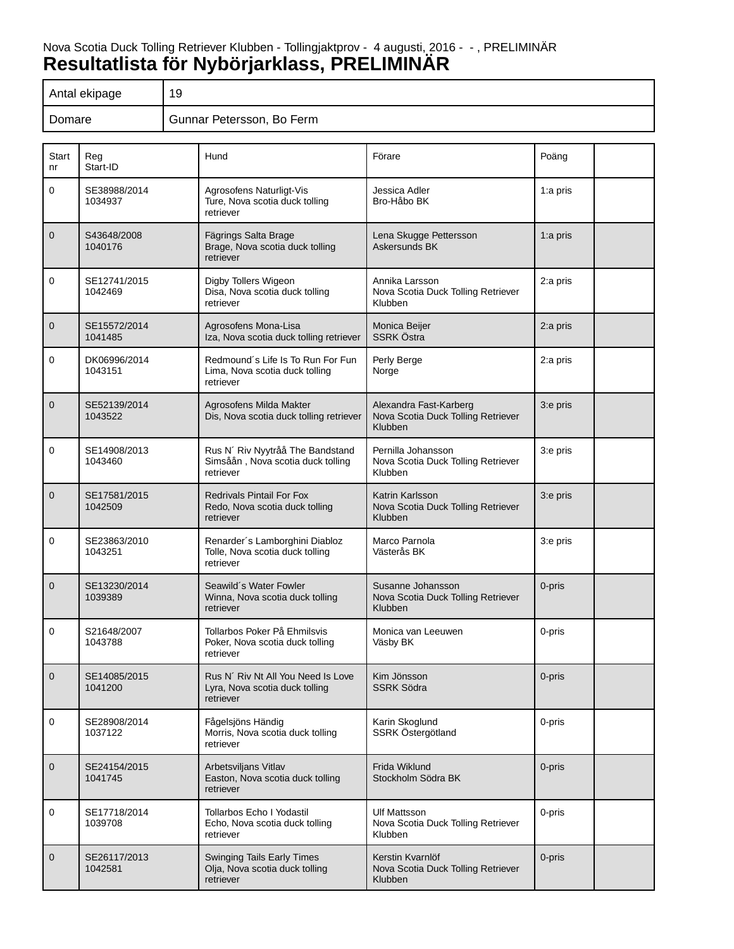# Nova Scotia Duck Tolling Retriever Klubben - Tollingjaktprov - 4 augusti, 2016 - - , PRELIMINÄR **Resultatlista för Nybörjarklass, PRELIMINÄR**

| Antal ekipage | 19                        |
|---------------|---------------------------|
| Domare        | Gunnar Petersson, Bo Ferm |

| Start<br>nr  | Reg<br>Start-ID         | Hund                                                                               | Förare                                                                  | Poäng       |
|--------------|-------------------------|------------------------------------------------------------------------------------|-------------------------------------------------------------------------|-------------|
| $\mathbf 0$  | SE38988/2014<br>1034937 | Agrosofens Naturligt-Vis<br>Ture, Nova scotia duck tolling<br>retriever            | Jessica Adler<br>Bro-Håbo BK                                            | 1:a pris    |
| $\mathbf 0$  | S43648/2008<br>1040176  | Fägrings Salta Brage<br>Brage, Nova scotia duck tolling<br>retriever               | Lena Skugge Pettersson<br>Askersunds BK                                 | 1: $a$ pris |
| 0            | SE12741/2015<br>1042469 | Digby Tollers Wigeon<br>Disa, Nova scotia duck tolling<br>retriever                | Annika Larsson<br>Nova Scotia Duck Tolling Retriever<br>Klubben         | 2:a pris    |
| $\mathbf 0$  | SE15572/2014<br>1041485 | Agrosofens Mona-Lisa<br>Iza, Nova scotia duck tolling retriever                    | Monica Beijer<br><b>SSRK Östra</b>                                      | 2:a pris    |
| 0            | DK06996/2014<br>1043151 | Redmound's Life Is To Run For Fun<br>Lima, Nova scotia duck tolling<br>retriever   | Perly Berge<br>Norge                                                    | 2:a pris    |
| $\mathbf 0$  | SE52139/2014<br>1043522 | Agrosofens Milda Makter<br>Dis, Nova scotia duck tolling retriever                 | Alexandra Fast-Karberg<br>Nova Scotia Duck Tolling Retriever<br>Klubben | 3:e pris    |
| 0            | SE14908/2013<br>1043460 | Rus N' Riv Nyytråå The Bandstand<br>Simsåån, Nova scotia duck tolling<br>retriever | Pernilla Johansson<br>Nova Scotia Duck Tolling Retriever<br>Klubben     | 3:e pris    |
| $\mathbf{0}$ | SE17581/2015<br>1042509 | <b>Redrivals Pintail For Fox</b><br>Redo, Nova scotia duck tolling<br>retriever    | Katrin Karlsson<br>Nova Scotia Duck Tolling Retriever<br>Klubben        | 3:e pris    |
| $\mathbf 0$  | SE23863/2010<br>1043251 | Renarder's Lamborghini Diabloz<br>Tolle, Nova scotia duck tolling<br>retriever     | Marco Parnola<br>Västerås BK                                            | 3:e pris    |
| $\mathbf 0$  | SE13230/2014<br>1039389 | Seawild's Water Fowler<br>Winna, Nova scotia duck tolling<br>retriever             | Susanne Johansson<br>Nova Scotia Duck Tolling Retriever<br>Klubben      | 0-pris      |
| 0            | S21648/2007<br>1043788  | Tollarbos Poker På Ehmilsvis<br>Poker, Nova scotia duck tolling<br>retriever       | Monica van Leeuwen<br>Väsby BK                                          | 0-pris      |
| $\mathbf 0$  | SE14085/2015<br>1041200 | Rus N' Riv Nt All You Need Is Love<br>Lyra, Nova scotia duck tolling<br>retriever  | Kim Jönsson<br><b>SSRK Södra</b>                                        | 0-pris      |
| 0            | SE28908/2014<br>1037122 | Fågelsjöns Händig<br>Morris, Nova scotia duck tolling<br>retriever                 | Karin Skoglund<br>SSRK Östergötland                                     | 0-pris      |
| $\mathbf 0$  | SE24154/2015<br>1041745 | Arbetsviljans Vitlav<br>Easton, Nova scotia duck tolling<br>retriever              | Frida Wiklund<br>Stockholm Södra BK                                     | 0-pris      |
| 0            | SE17718/2014<br>1039708 | <b>Tollarbos Echo I Yodastil</b><br>Echo, Nova scotia duck tolling<br>retriever    | <b>Ulf Mattsson</b><br>Nova Scotia Duck Tolling Retriever<br>Klubben    | 0-pris      |
| $\mathbf 0$  | SE26117/2013<br>1042581 | Swinging Tails Early Times<br>Olja, Nova scotia duck tolling<br>retriever          | Kerstin Kvarnlöf<br>Nova Scotia Duck Tolling Retriever<br>Klubben       | 0-pris      |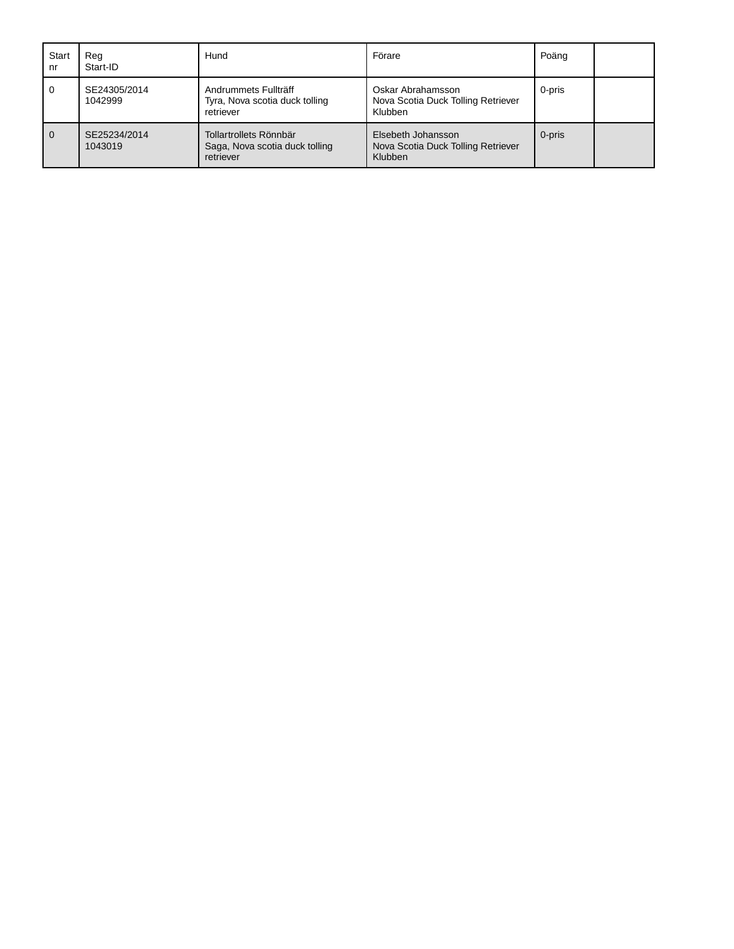| Start<br>nr  | Rea<br>Start-ID         | Hund                                                                  | Förare                                                              | Poäng  |  |
|--------------|-------------------------|-----------------------------------------------------------------------|---------------------------------------------------------------------|--------|--|
| 0            | SE24305/2014<br>1042999 | Andrummets Fullträff<br>Tyra, Nova scotia duck tolling<br>retriever   | Oskar Abrahamsson<br>Nova Scotia Duck Tolling Retriever<br>Klubben  | 0-pris |  |
| $\mathbf{0}$ | SE25234/2014<br>1043019 | Tollartrollets Rönnbär<br>Saga, Nova scotia duck tolling<br>retriever | Elsebeth Johansson<br>Nova Scotia Duck Tolling Retriever<br>Klubben | 0-pris |  |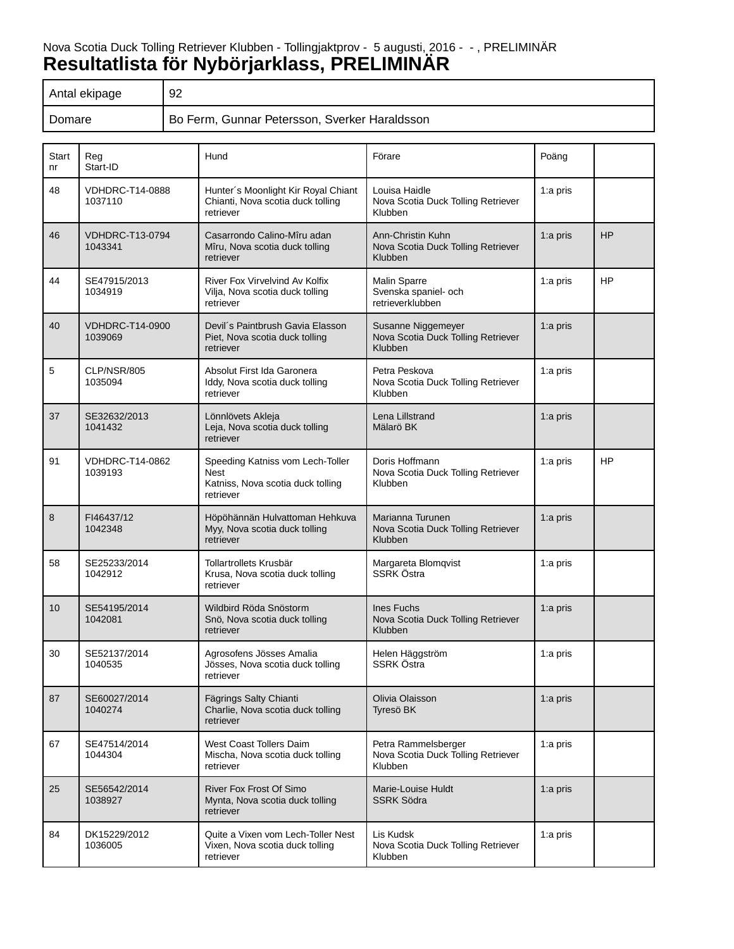# Nova Scotia Duck Tolling Retriever Klubben - Tollingjaktprov - 5 augusti, 2016 - - , PRELIMINÄR **Resultatlista för Nybörjarklass, PRELIMINÄR**

| Antal ekipage | 92                                            |
|---------------|-----------------------------------------------|
| Domare        | Bo Ferm, Gunnar Petersson, Sverker Haraldsson |

| Start<br>nr | Reg<br>Start-ID                   | Hund                                                                                              | Förare                                                               | Poäng       |           |
|-------------|-----------------------------------|---------------------------------------------------------------------------------------------------|----------------------------------------------------------------------|-------------|-----------|
| 48          | <b>VDHDRC-T14-0888</b><br>1037110 | Hunter's Moonlight Kir Royal Chiant<br>Chianti, Nova scotia duck tolling<br>retriever             | Louisa Haidle<br>Nova Scotia Duck Tolling Retriever<br>Klubben       | 1:a pris    |           |
| 46          | <b>VDHDRC-T13-0794</b><br>1043341 | Casarrondo Calino-Mîru adan<br>Mîru, Nova scotia duck tolling<br>retriever                        | Ann-Christin Kuhn<br>Nova Scotia Duck Tolling Retriever<br>Klubben   | 1:a pris    | HP        |
| 44          | SE47915/2013<br>1034919           | River Fox Virvelvind Av Kolfix<br>Vilja, Nova scotia duck tolling<br>retriever                    | <b>Malin Sparre</b><br>Svenska spaniel- och<br>retrieverklubben      | 1:a pris    | HP        |
| 40          | <b>VDHDRC-T14-0900</b><br>1039069 | Devil's Paintbrush Gavia Elasson<br>Piet, Nova scotia duck tolling<br>retriever                   | Susanne Niggemeyer<br>Nova Scotia Duck Tolling Retriever<br>Klubben  | 1:a pris    |           |
| 5           | CLP/NSR/805<br>1035094            | Absolut First Ida Garonera<br>Iddy, Nova scotia duck tolling<br>retriever                         | Petra Peskova<br>Nova Scotia Duck Tolling Retriever<br>Klubben       | 1:a pris    |           |
| 37          | SE32632/2013<br>1041432           | Lönnlövets Akleja<br>Leja, Nova scotia duck tolling<br>retriever                                  | Lena Lillstrand<br>Mälarö BK                                         | 1:a pris    |           |
| 91          | VDHDRC-T14-0862<br>1039193        | Speeding Katniss vom Lech-Toller<br><b>Nest</b><br>Katniss, Nova scotia duck tolling<br>retriever | Doris Hoffmann<br>Nova Scotia Duck Tolling Retriever<br>Klubben      | 1:a pris    | <b>HP</b> |
| 8           | FI46437/12<br>1042348             | Höpöhännän Hulvattoman Hehkuva<br>Myy, Nova scotia duck tolling<br>retriever                      | Marianna Turunen<br>Nova Scotia Duck Tolling Retriever<br>Klubben    | 1:a pris    |           |
| 58          | SE25233/2014<br>1042912           | Tollartrollets Krusbär<br>Krusa, Nova scotia duck tolling<br>retriever                            | Margareta Blomqvist<br>SSRK Östra                                    | 1:a pris    |           |
| 10          | SE54195/2014<br>1042081           | Wildbird Röda Snöstorm<br>Snö, Nova scotia duck tolling<br>retriever                              | Ines Fuchs<br>Nova Scotia Duck Tolling Retriever<br>Klubben          | 1:a pris    |           |
| 30          | SE52137/2014<br>1040535           | Agrosofens Jösses Amalia<br>Jösses, Nova scotia duck tolling<br>retriever                         | Helen Häggström<br>SSRK Östra                                        | 1:a pris    |           |
| 87          | SE60027/2014<br>1040274           | Fägrings Salty Chianti<br>Charlie, Nova scotia duck tolling<br>retriever                          | Olivia Olaisson<br>Tyresö BK                                         | 1: $a$ pris |           |
| 67          | SE47514/2014<br>1044304           | West Coast Tollers Daim<br>Mischa, Nova scotia duck tolling<br>retriever                          | Petra Rammelsberger<br>Nova Scotia Duck Tolling Retriever<br>Klubben | 1:a pris    |           |
| 25          | SE56542/2014<br>1038927           | <b>River Fox Frost Of Simo</b><br>Mynta, Nova scotia duck tolling<br>retriever                    | Marie-Louise Huldt<br><b>SSRK Södra</b>                              | 1:a pris    |           |
| 84          | DK15229/2012<br>1036005           | Quite a Vixen vom Lech-Toller Nest<br>Vixen, Nova scotia duck tolling<br>retriever                | Lis Kudsk<br>Nova Scotia Duck Tolling Retriever<br>Klubben           | 1:a pris    |           |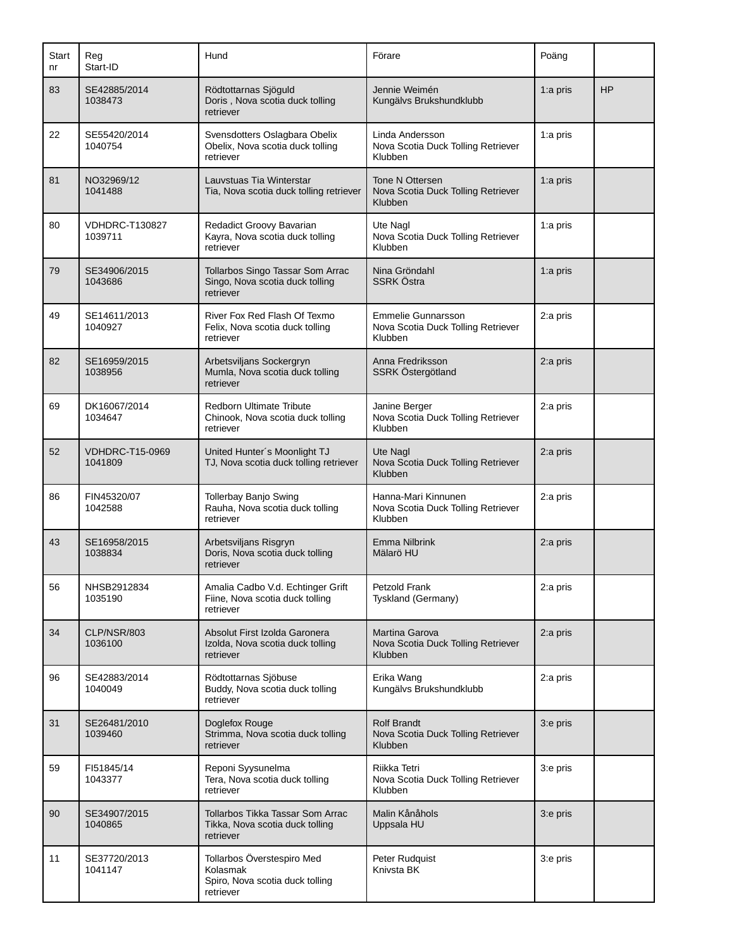| Start<br>nr | Reg<br>Start-ID                   | Hund                                                                                   | Förare                                                                     | Poäng       |           |
|-------------|-----------------------------------|----------------------------------------------------------------------------------------|----------------------------------------------------------------------------|-------------|-----------|
| 83          | SE42885/2014<br>1038473           | Rödtottarnas Sjöguld<br>Doris, Nova scotia duck tolling<br>retriever                   | Jennie Weimén<br>Kungälvs Brukshundklubb                                   | 1:a pris    | <b>HP</b> |
| 22          | SE55420/2014<br>1040754           | Svensdotters Oslagbara Obelix<br>Obelix, Nova scotia duck tolling<br>retriever         | Linda Andersson<br>Nova Scotia Duck Tolling Retriever<br>Klubben           | 1:a pris    |           |
| 81          | NO32969/12<br>1041488             | Lauvstuas Tia Winterstar<br>Tia, Nova scotia duck tolling retriever                    | Tone N Ottersen<br>Nova Scotia Duck Tolling Retriever<br>Klubben           | 1:a pris    |           |
| 80          | <b>VDHDRC-T130827</b><br>1039711  | Redadict Groovy Bavarian<br>Kayra, Nova scotia duck tolling<br>retriever               | Ute Nagl<br>Nova Scotia Duck Tolling Retriever<br>Klubben                  | 1:a pris    |           |
| 79          | SE34906/2015<br>1043686           | Tollarbos Singo Tassar Som Arrac<br>Singo, Nova scotia duck tolling<br>retriever       | Nina Gröndahl<br>SSRK Östra                                                | 1: $a$ pris |           |
| 49          | SE14611/2013<br>1040927           | River Fox Red Flash Of Texmo<br>Felix, Nova scotia duck tolling<br>retriever           | <b>Emmelie Gunnarsson</b><br>Nova Scotia Duck Tolling Retriever<br>Klubben | 2:a pris    |           |
| 82          | SE16959/2015<br>1038956           | Arbetsviljans Sockergryn<br>Mumla, Nova scotia duck tolling<br>retriever               | Anna Fredriksson<br>SSRK Östergötland                                      | 2:a pris    |           |
| 69          | DK16067/2014<br>1034647           | <b>Redborn Ultimate Tribute</b><br>Chinook, Nova scotia duck tolling<br>retriever      | Janine Berger<br>Nova Scotia Duck Tolling Retriever<br>Klubben             | 2:a pris    |           |
| 52          | <b>VDHDRC-T15-0969</b><br>1041809 | United Hunter's Moonlight TJ<br>TJ, Nova scotia duck tolling retriever                 | Ute Nagl<br>Nova Scotia Duck Tolling Retriever<br>Klubben                  | 2:a pris    |           |
| 86          | FIN45320/07<br>1042588            | <b>Tollerbay Banjo Swing</b><br>Rauha, Nova scotia duck tolling<br>retriever           | Hanna-Mari Kinnunen<br>Nova Scotia Duck Tolling Retriever<br>Klubben       | 2:a pris    |           |
| 43          | SE16958/2015<br>1038834           | Arbetsviljans Risgryn<br>Doris, Nova scotia duck tolling<br>retriever                  | Emma Nilbrink<br>Mälarö HU                                                 | 2:a pris    |           |
| 56          | NHSB2912834<br>1035190            | Amalia Cadbo V.d. Echtinger Grift<br>Fiine, Nova scotia duck tolling<br>retriever      | Petzold Frank<br>Tyskland (Germany)                                        | 2:a pris    |           |
| 34          | CLP/NSR/803<br>1036100            | Absolut First Izolda Garonera<br>Izolda, Nova scotia duck tolling<br>retriever         | Martina Garova<br>Nova Scotia Duck Tolling Retriever<br><b>Klubben</b>     | 2:a pris    |           |
| 96          | SE42883/2014<br>1040049           | Rödtottarnas Sjöbuse<br>Buddy, Nova scotia duck tolling<br>retriever                   | Erika Wang<br>Kungälvs Brukshundklubb                                      | 2:a pris    |           |
| 31          | SE26481/2010<br>1039460           | Doglefox Rouge<br>Strimma, Nova scotia duck tolling<br>retriever                       | <b>Rolf Brandt</b><br>Nova Scotia Duck Tolling Retriever<br>Klubben        | 3:e pris    |           |
| 59          | FI51845/14<br>1043377             | Reponi Syysunelma<br>Tera, Nova scotia duck tolling<br>retriever                       | Riikka Tetri<br>Nova Scotia Duck Tolling Retriever<br>Klubben              | 3:e pris    |           |
| 90          | SE34907/2015<br>1040865           | Tollarbos Tikka Tassar Som Arrac<br>Tikka, Nova scotia duck tolling<br>retriever       | Malin Kånåhols<br>Uppsala HU                                               | 3:e pris    |           |
| 11          | SE37720/2013<br>1041147           | Tollarbos Överstespiro Med<br>Kolasmak<br>Spiro, Nova scotia duck tolling<br>retriever | Peter Rudquist<br>Knivsta BK                                               | 3:e pris    |           |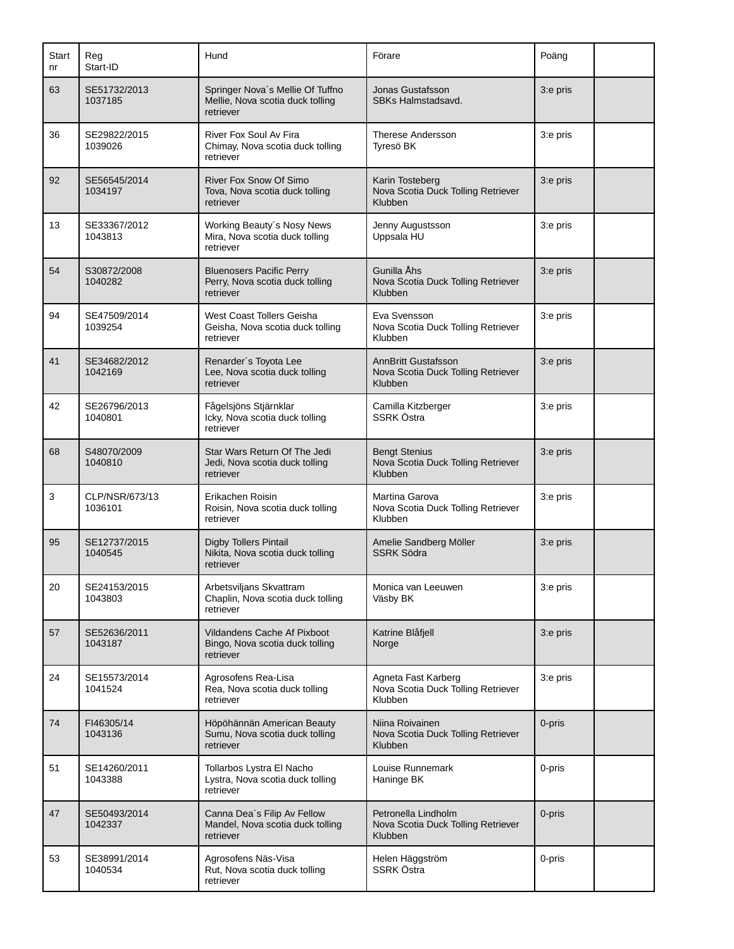| Start<br>nr | Reg<br>Start-ID           | Hund                                                                              | Förare                                                                      | Poäng    |  |
|-------------|---------------------------|-----------------------------------------------------------------------------------|-----------------------------------------------------------------------------|----------|--|
| 63          | SE51732/2013<br>1037185   | Springer Nova's Mellie Of Tuffno<br>Mellie, Nova scotia duck tolling<br>retriever | Jonas Gustafsson<br>SBKs Halmstadsavd.                                      | 3:e pris |  |
| 36          | SE29822/2015<br>1039026   | River Fox Soul Av Fira<br>Chimay, Nova scotia duck tolling<br>retriever           | Therese Andersson<br>Tyresö BK                                              | 3:e pris |  |
| 92          | SE56545/2014<br>1034197   | River Fox Snow Of Simo<br>Tova, Nova scotia duck tolling<br>retriever             | Karin Tosteberg<br>Nova Scotia Duck Tolling Retriever<br>Klubben            | 3:e pris |  |
| 13          | SE33367/2012<br>1043813   | Working Beauty's Nosy News<br>Mira, Nova scotia duck tolling<br>retriever         | Jenny Augustsson<br>Uppsala HU                                              | 3:e pris |  |
| 54          | S30872/2008<br>1040282    | <b>Bluenosers Pacific Perry</b><br>Perry, Nova scotia duck tolling<br>retriever   | Gunilla Åhs<br>Nova Scotia Duck Tolling Retriever<br>Klubben                | 3:e pris |  |
| 94          | SE47509/2014<br>1039254   | West Coast Tollers Geisha<br>Geisha, Nova scotia duck tolling<br>retriever        | Eva Svensson<br>Nova Scotia Duck Tolling Retriever<br>Klubben               | 3:e pris |  |
| 41          | SE34682/2012<br>1042169   | Renarder's Toyota Lee<br>Lee, Nova scotia duck tolling<br>retriever               | <b>AnnBritt Gustafsson</b><br>Nova Scotia Duck Tolling Retriever<br>Klubben | 3:e pris |  |
| 42          | SE26796/2013<br>1040801   | Fågelsjöns Stjärnklar<br>Icky, Nova scotia duck tolling<br>retriever              | Camilla Kitzberger<br>SSRK Östra                                            | 3:e pris |  |
| 68          | S48070/2009<br>1040810    | Star Wars Return Of The Jedi<br>Jedi, Nova scotia duck tolling<br>retriever       | <b>Bengt Stenius</b><br>Nova Scotia Duck Tolling Retriever<br>Klubben       | 3:e pris |  |
| 3           | CLP/NSR/673/13<br>1036101 | Erikachen Roisin<br>Roisin, Nova scotia duck tolling<br>retriever                 | Martina Garova<br>Nova Scotia Duck Tolling Retriever<br>Klubben             | 3:e pris |  |
| 95          | SE12737/2015<br>1040545   | Digby Tollers Pintail<br>Nikita, Nova scotia duck tolling<br>retriever            | Amelie Sandberg Möller<br><b>SSRK Södra</b>                                 | 3:e pris |  |
| 20          | SE24153/2015<br>1043803   | Arbetsviljans Skvattram<br>Chaplin, Nova scotia duck tolling<br>retriever         | Monica van Leeuwen<br>Väsby BK                                              | 3:e pris |  |
| 57          | SE52636/2011<br>1043187   | Vildandens Cache Af Pixboot<br>Bingo, Nova scotia duck tolling<br>retriever       | Katrine Blåfjell<br>Norge                                                   | 3:e pris |  |
| 24          | SE15573/2014<br>1041524   | Agrosofens Rea-Lisa<br>Rea, Nova scotia duck tolling<br>retriever                 | Agneta Fast Karberg<br>Nova Scotia Duck Tolling Retriever<br>Klubben        | 3:e pris |  |
| 74          | FI46305/14<br>1043136     | Höpöhännän American Beauty<br>Sumu, Nova scotia duck tolling<br>retriever         | Niina Roivainen<br>Nova Scotia Duck Tolling Retriever<br>Klubben            | 0-pris   |  |
| 51          | SE14260/2011<br>1043388   | Tollarbos Lystra El Nacho<br>Lystra, Nova scotia duck tolling<br>retriever        | Louise Runnemark<br>Haninge BK                                              | 0-pris   |  |
| 47          | SE50493/2014<br>1042337   | Canna Dea's Filip Av Fellow<br>Mandel, Nova scotia duck tolling<br>retriever      | Petronella Lindholm<br>Nova Scotia Duck Tolling Retriever<br>Klubben        | 0-pris   |  |
| 53          | SE38991/2014<br>1040534   | Agrosofens Näs-Visa<br>Rut, Nova scotia duck tolling<br>retriever                 | Helen Häggström<br>SSRK Östra                                               | 0-pris   |  |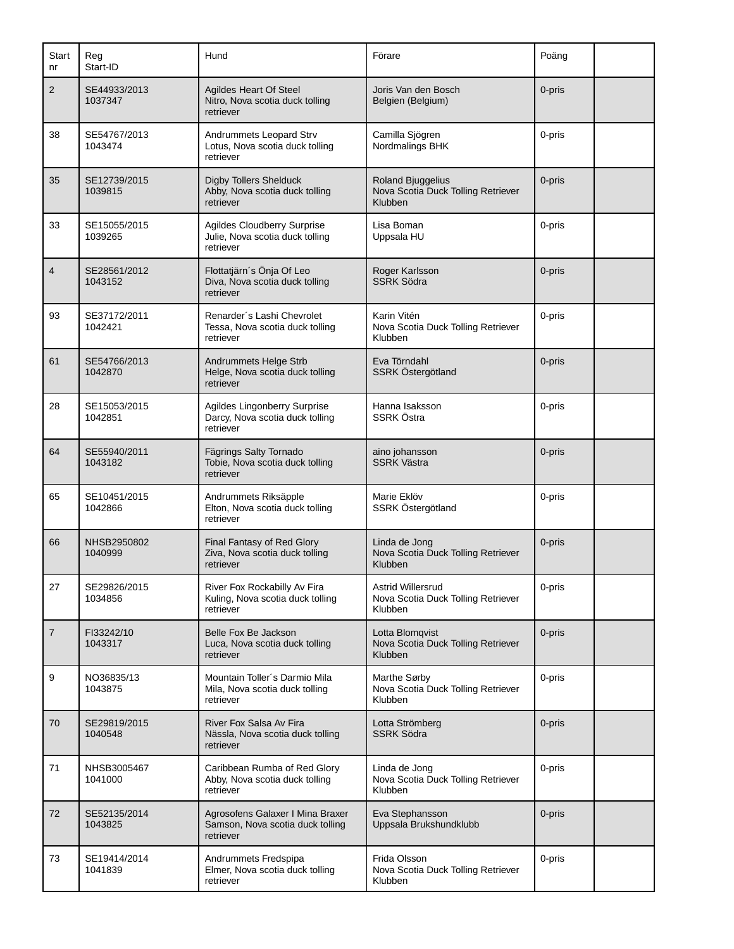| Start<br>nr    | Reg<br>Start-ID         | Hund                                                                               | Förare                                                             | Poäng  |  |
|----------------|-------------------------|------------------------------------------------------------------------------------|--------------------------------------------------------------------|--------|--|
| $\overline{2}$ | SE44933/2013<br>1037347 | Agildes Heart Of Steel<br>Nitro, Nova scotia duck tolling<br>retriever             | Joris Van den Bosch<br>Belgien (Belgium)                           | 0-pris |  |
| 38             | SE54767/2013<br>1043474 | Andrummets Leopard Strv<br>Lotus, Nova scotia duck tolling<br>retriever            | Camilla Sjögren<br>Nordmalings BHK                                 | 0-pris |  |
| 35             | SE12739/2015<br>1039815 | <b>Digby Tollers Shelduck</b><br>Abby, Nova scotia duck tolling<br>retriever       | Roland Bjuggelius<br>Nova Scotia Duck Tolling Retriever<br>Klubben | 0-pris |  |
| 33             | SE15055/2015<br>1039265 | <b>Agildes Cloudberry Surprise</b><br>Julie, Nova scotia duck tolling<br>retriever | Lisa Boman<br>Uppsala HU                                           | 0-pris |  |
| $\overline{4}$ | SE28561/2012<br>1043152 | Flottatjärn's Önja Of Leo<br>Diva, Nova scotia duck tolling<br>retriever           | Roger Karlsson<br><b>SSRK Södra</b>                                | 0-pris |  |
| 93             | SE37172/2011<br>1042421 | Renarder's Lashi Chevrolet<br>Tessa, Nova scotia duck tolling<br>retriever         | Karin Vitén<br>Nova Scotia Duck Tolling Retriever<br>Klubben       | 0-pris |  |
| 61             | SE54766/2013<br>1042870 | Andrummets Helge Strb<br>Helge, Nova scotia duck tolling<br>retriever              | Eva Törndahl<br>SSRK Östergötland                                  | 0-pris |  |
| 28             | SE15053/2015<br>1042851 | Agildes Lingonberry Surprise<br>Darcy, Nova scotia duck tolling<br>retriever       | Hanna Isaksson<br>SSRK Östra                                       | 0-pris |  |
| 64             | SE55940/2011<br>1043182 | Fägrings Salty Tornado<br>Tobie, Nova scotia duck tolling<br>retriever             | aino johansson<br><b>SSRK Västra</b>                               | 0-pris |  |
| 65             | SE10451/2015<br>1042866 | Andrummets Riksäpple<br>Elton, Nova scotia duck tolling<br>retriever               | Marie Eklöv<br>SSRK Östergötland                                   | 0-pris |  |
| 66             | NHSB2950802<br>1040999  | Final Fantasy of Red Glory<br>Ziva, Nova scotia duck tolling<br>retriever          | Linda de Jong<br>Nova Scotia Duck Tolling Retriever<br>Klubben     | 0-pris |  |
| 27             | SE29826/2015<br>1034856 | River Fox Rockabilly Av Fira<br>Kuling, Nova scotia duck tolling<br>retriever      | Astrid Willersrud<br>Nova Scotia Duck Tolling Retriever<br>Klubben | 0-pris |  |
| $\overline{7}$ | FI33242/10<br>1043317   | Belle Fox Be Jackson<br>Luca, Nova scotia duck tolling<br>retriever                | Lotta Blomqvist<br>Nova Scotia Duck Tolling Retriever<br>Klubben   | 0-pris |  |
| 9              | NO36835/13<br>1043875   | Mountain Toller's Darmio Mila<br>Mila, Nova scotia duck tolling<br>retriever       | Marthe Sørby<br>Nova Scotia Duck Tolling Retriever<br>Klubben      | 0-pris |  |
| 70             | SE29819/2015<br>1040548 | River Fox Salsa Av Fira<br>Nässla, Nova scotia duck tolling<br>retriever           | Lotta Strömberg<br><b>SSRK Södra</b>                               | 0-pris |  |
| 71             | NHSB3005467<br>1041000  | Caribbean Rumba of Red Glory<br>Abby, Nova scotia duck tolling<br>retriever        | Linda de Jong<br>Nova Scotia Duck Tolling Retriever<br>Klubben     | 0-pris |  |
| 72             | SE52135/2014<br>1043825 | Agrosofens Galaxer I Mina Braxer<br>Samson, Nova scotia duck tolling<br>retriever  | Eva Stephansson<br>Uppsala Brukshundklubb                          | 0-pris |  |
| 73             | SE19414/2014<br>1041839 | Andrummets Fredspipa<br>Elmer, Nova scotia duck tolling<br>retriever               | Frida Olsson<br>Nova Scotia Duck Tolling Retriever<br>Klubben      | 0-pris |  |